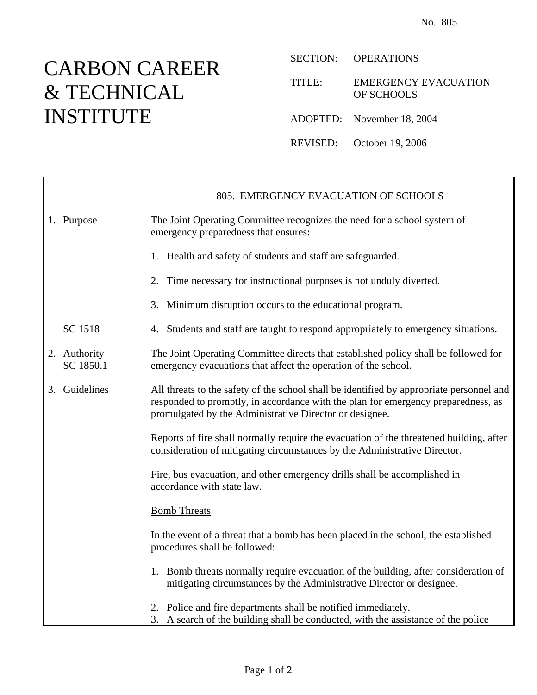## CARBON CAREER & TECHNICAL INSTITUTE

SECTION: OPERATIONS

TITLE: EMERGENCY EVACUATION OF SCHOOLS

ADOPTED: November 18, 2004

REVISED: October 19, 2006

|                           | 805. EMERGENCY EVACUATION OF SCHOOLS                                                                                                                                                                                                     |
|---------------------------|------------------------------------------------------------------------------------------------------------------------------------------------------------------------------------------------------------------------------------------|
| 1. Purpose                | The Joint Operating Committee recognizes the need for a school system of<br>emergency preparedness that ensures:                                                                                                                         |
|                           | 1. Health and safety of students and staff are safeguarded.                                                                                                                                                                              |
|                           | Time necessary for instructional purposes is not unduly diverted.<br>2.                                                                                                                                                                  |
|                           | Minimum disruption occurs to the educational program.<br>3.                                                                                                                                                                              |
| SC 1518                   | 4. Students and staff are taught to respond appropriately to emergency situations.                                                                                                                                                       |
| 2. Authority<br>SC 1850.1 | The Joint Operating Committee directs that established policy shall be followed for<br>emergency evacuations that affect the operation of the school.                                                                                    |
| 3. Guidelines             | All threats to the safety of the school shall be identified by appropriate personnel and<br>responded to promptly, in accordance with the plan for emergency preparedness, as<br>promulgated by the Administrative Director or designee. |
|                           | Reports of fire shall normally require the evacuation of the threatened building, after<br>consideration of mitigating circumstances by the Administrative Director.                                                                     |
|                           | Fire, bus evacuation, and other emergency drills shall be accomplished in<br>accordance with state law.                                                                                                                                  |
|                           | <b>Bomb Threats</b>                                                                                                                                                                                                                      |
|                           | In the event of a threat that a bomb has been placed in the school, the established<br>procedures shall be followed:                                                                                                                     |
|                           | 1. Bomb threats normally require evacuation of the building, after consideration of<br>mitigating circumstances by the Administrative Director or designee.                                                                              |
|                           | 2. Police and fire departments shall be notified immediately.<br>3. A search of the building shall be conducted, with the assistance of the police                                                                                       |